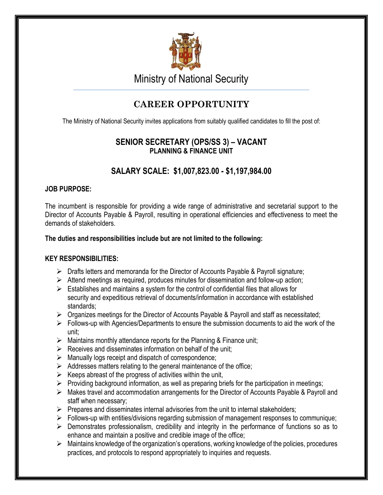

Ministry of National Security

# **CAREER OPPORTUNITY**

The Ministry of National Security invites applications from suitably qualified candidates to fill the post of:

## **SENIOR SECRETARY (OPS/SS 3) – VACANT PLANNING & FINANCE UNIT**

## **SALARY SCALE: \$1,007,823.00 - \$1,197,984.00**

## **JOB PURPOSE:**

The incumbent is responsible for providing a wide range of administrative and secretarial support to the Director of Accounts Payable & Payroll, resulting in operational efficiencies and effectiveness to meet the demands of stakeholders.

## **The duties and responsibilities include but are not limited to the following:**

## **KEY RESPONSIBILITIES:**

- $\triangleright$  Drafts letters and memoranda for the Director of Accounts Payable & Payroll signature;
- $\triangleright$  Attend meetings as required, produces minutes for dissemination and follow-up action;
- $\triangleright$  Establishes and maintains a system for the control of confidential files that allows for security and expeditious retrieval of documents/information in accordance with established standards;
- $\triangleright$  Organizes meetings for the Director of Accounts Payable & Payroll and staff as necessitated;
- $\triangleright$  Follows-up with Agencies/Departments to ensure the submission documents to aid the work of the unit;
- $\triangleright$  Maintains monthly attendance reports for the Planning & Finance unit;
- $\triangleright$  Receives and disseminates information on behalf of the unit;
- $\triangleright$  Manually logs receipt and dispatch of correspondence;
- $\triangleright$  Addresses matters relating to the general maintenance of the office;
- $\triangleright$  Keeps abreast of the progress of activities within the unit,
- $\triangleright$  Providing background information, as well as preparing briefs for the participation in meetings;
- Makes travel and accommodation arrangements for the Director of Accounts Payable & Payroll and staff when necessary;
- $\triangleright$  Prepares and disseminates internal advisories from the unit to internal stakeholders;
- $\triangleright$  Follows-up with entities/divisions regarding submission of management responses to communique;
- $\triangleright$  Demonstrates professionalism, credibility and integrity in the performance of functions so as to enhance and maintain a positive and credible image of the office;
- $\triangleright$  Maintains knowledge of the organization's operations, working knowledge of the policies, procedures practices, and protocols to respond appropriately to inquiries and requests.